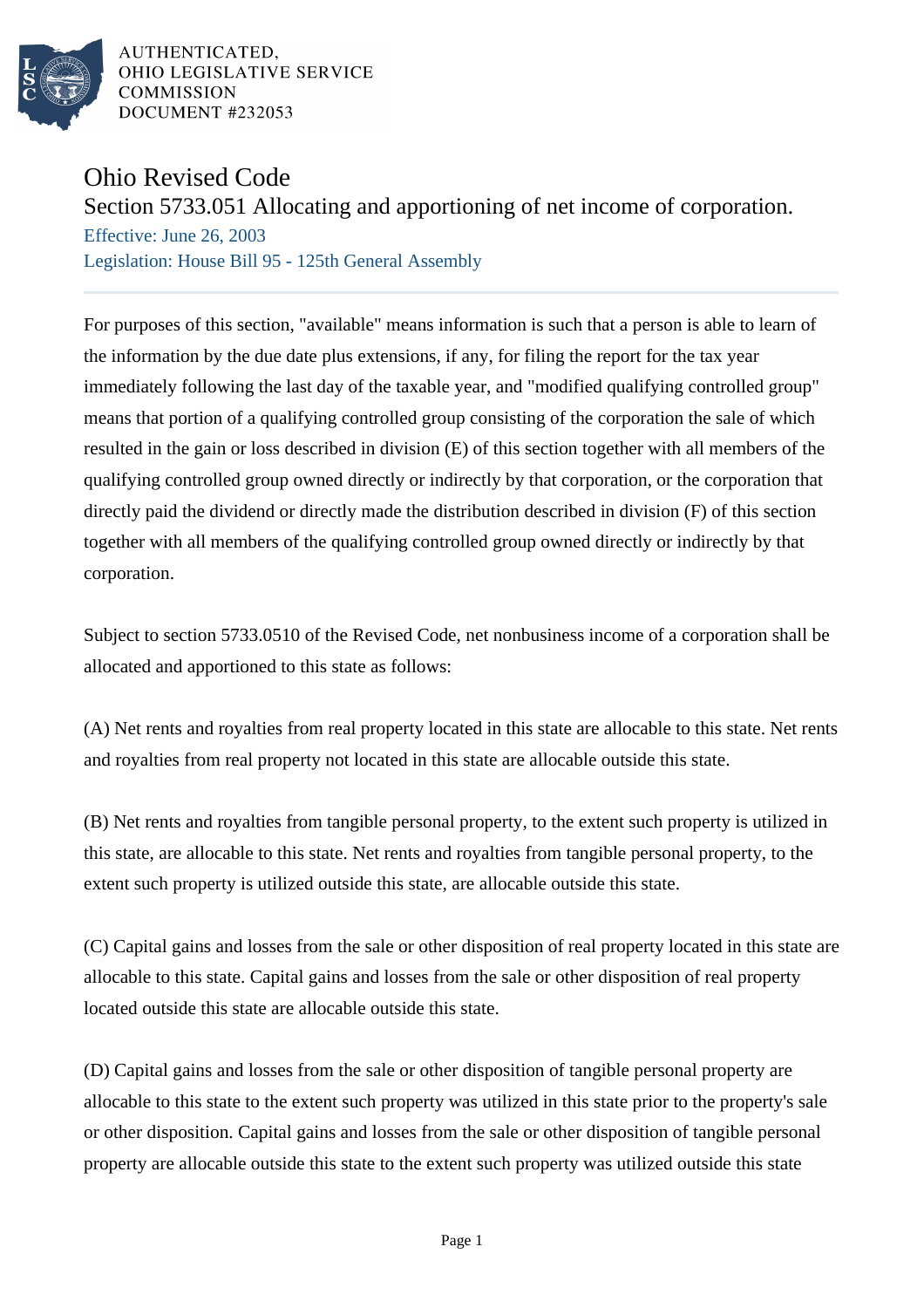

AUTHENTICATED, OHIO LEGISLATIVE SERVICE **COMMISSION** DOCUMENT #232053

## Ohio Revised Code

## Section 5733.051 Allocating and apportioning of net income of corporation.

Effective: June 26, 2003 Legislation: House Bill 95 - 125th General Assembly

For purposes of this section, "available" means information is such that a person is able to learn of the information by the due date plus extensions, if any, for filing the report for the tax year immediately following the last day of the taxable year, and "modified qualifying controlled group" means that portion of a qualifying controlled group consisting of the corporation the sale of which resulted in the gain or loss described in division (E) of this section together with all members of the qualifying controlled group owned directly or indirectly by that corporation, or the corporation that directly paid the dividend or directly made the distribution described in division (F) of this section together with all members of the qualifying controlled group owned directly or indirectly by that corporation.

Subject to section 5733.0510 of the Revised Code, net nonbusiness income of a corporation shall be allocated and apportioned to this state as follows:

(A) Net rents and royalties from real property located in this state are allocable to this state. Net rents and royalties from real property not located in this state are allocable outside this state.

(B) Net rents and royalties from tangible personal property, to the extent such property is utilized in this state, are allocable to this state. Net rents and royalties from tangible personal property, to the extent such property is utilized outside this state, are allocable outside this state.

(C) Capital gains and losses from the sale or other disposition of real property located in this state are allocable to this state. Capital gains and losses from the sale or other disposition of real property located outside this state are allocable outside this state.

(D) Capital gains and losses from the sale or other disposition of tangible personal property are allocable to this state to the extent such property was utilized in this state prior to the property's sale or other disposition. Capital gains and losses from the sale or other disposition of tangible personal property are allocable outside this state to the extent such property was utilized outside this state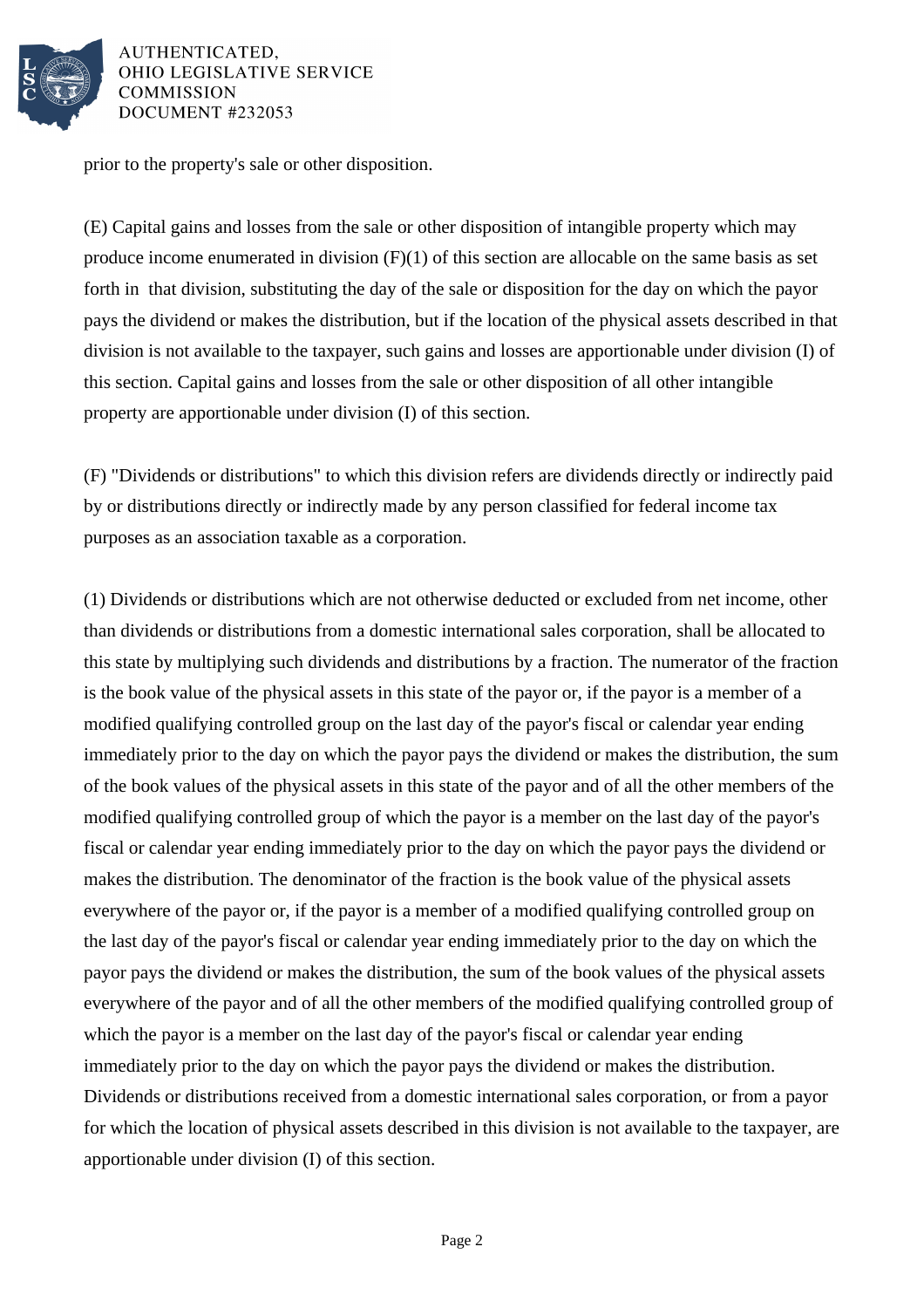

AUTHENTICATED, **OHIO LEGISLATIVE SERVICE COMMISSION** DOCUMENT #232053

prior to the property's sale or other disposition.

(E) Capital gains and losses from the sale or other disposition of intangible property which may produce income enumerated in division  $(F)(1)$  of this section are allocable on the same basis as set forth in that division, substituting the day of the sale or disposition for the day on which the payor pays the dividend or makes the distribution, but if the location of the physical assets described in that division is not available to the taxpayer, such gains and losses are apportionable under division (I) of this section. Capital gains and losses from the sale or other disposition of all other intangible property are apportionable under division (I) of this section.

(F) "Dividends or distributions" to which this division refers are dividends directly or indirectly paid by or distributions directly or indirectly made by any person classified for federal income tax purposes as an association taxable as a corporation.

(1) Dividends or distributions which are not otherwise deducted or excluded from net income, other than dividends or distributions from a domestic international sales corporation, shall be allocated to this state by multiplying such dividends and distributions by a fraction. The numerator of the fraction is the book value of the physical assets in this state of the payor or, if the payor is a member of a modified qualifying controlled group on the last day of the payor's fiscal or calendar year ending immediately prior to the day on which the payor pays the dividend or makes the distribution, the sum of the book values of the physical assets in this state of the payor and of all the other members of the modified qualifying controlled group of which the payor is a member on the last day of the payor's fiscal or calendar year ending immediately prior to the day on which the payor pays the dividend or makes the distribution. The denominator of the fraction is the book value of the physical assets everywhere of the payor or, if the payor is a member of a modified qualifying controlled group on the last day of the payor's fiscal or calendar year ending immediately prior to the day on which the payor pays the dividend or makes the distribution, the sum of the book values of the physical assets everywhere of the payor and of all the other members of the modified qualifying controlled group of which the payor is a member on the last day of the payor's fiscal or calendar year ending immediately prior to the day on which the payor pays the dividend or makes the distribution. Dividends or distributions received from a domestic international sales corporation, or from a payor for which the location of physical assets described in this division is not available to the taxpayer, are apportionable under division (I) of this section.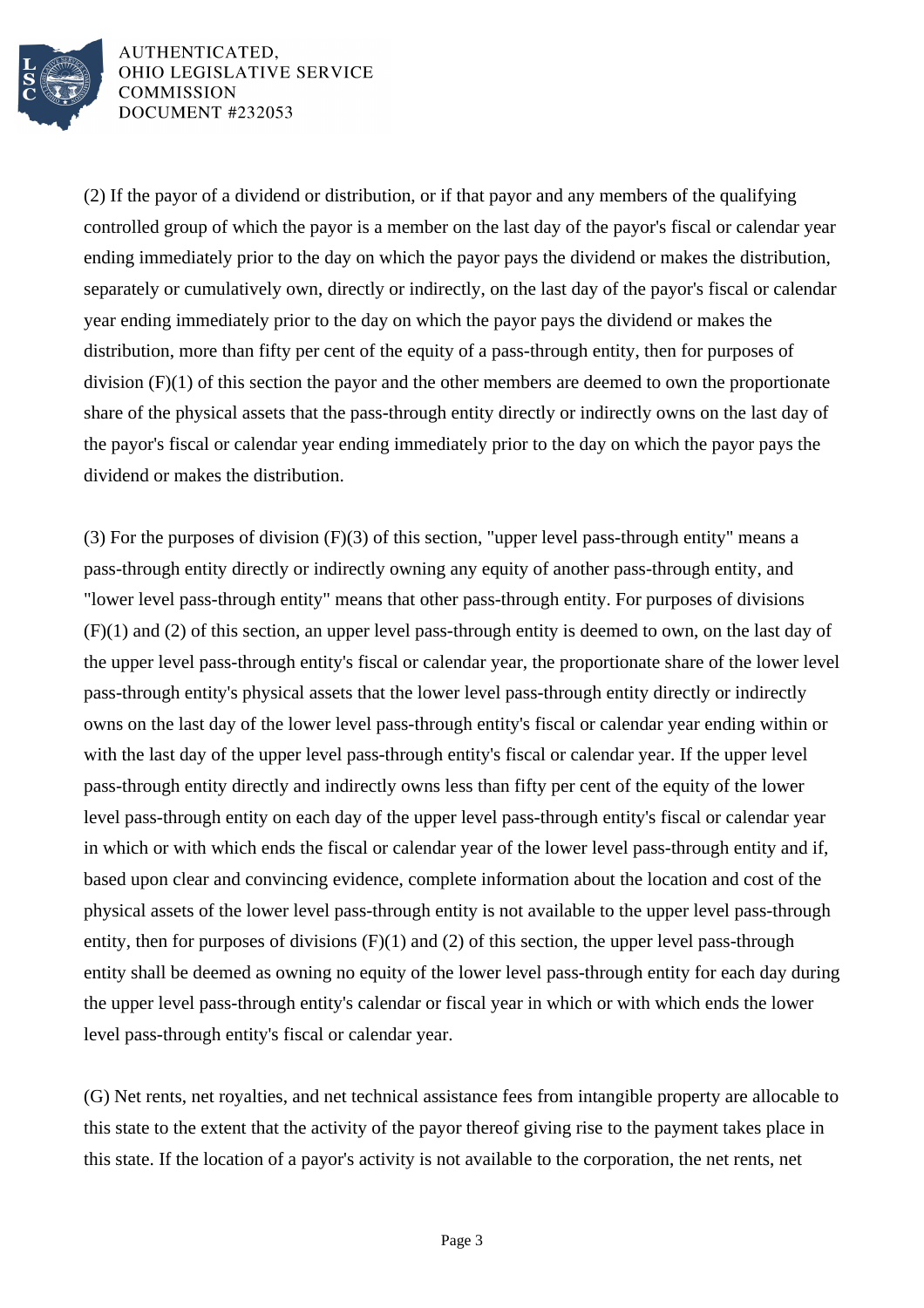

AUTHENTICATED, OHIO LEGISLATIVE SERVICE **COMMISSION DOCUMENT #232053** 

(2) If the payor of a dividend or distribution, or if that payor and any members of the qualifying controlled group of which the payor is a member on the last day of the payor's fiscal or calendar year ending immediately prior to the day on which the payor pays the dividend or makes the distribution, separately or cumulatively own, directly or indirectly, on the last day of the payor's fiscal or calendar year ending immediately prior to the day on which the payor pays the dividend or makes the distribution, more than fifty per cent of the equity of a pass-through entity, then for purposes of division (F)(1) of this section the payor and the other members are deemed to own the proportionate share of the physical assets that the pass-through entity directly or indirectly owns on the last day of the payor's fiscal or calendar year ending immediately prior to the day on which the payor pays the dividend or makes the distribution.

(3) For the purposes of division (F)(3) of this section, "upper level pass-through entity" means a pass-through entity directly or indirectly owning any equity of another pass-through entity, and "lower level pass-through entity" means that other pass-through entity. For purposes of divisions (F)(1) and (2) of this section, an upper level pass-through entity is deemed to own, on the last day of the upper level pass-through entity's fiscal or calendar year, the proportionate share of the lower level pass-through entity's physical assets that the lower level pass-through entity directly or indirectly owns on the last day of the lower level pass-through entity's fiscal or calendar year ending within or with the last day of the upper level pass-through entity's fiscal or calendar year. If the upper level pass-through entity directly and indirectly owns less than fifty per cent of the equity of the lower level pass-through entity on each day of the upper level pass-through entity's fiscal or calendar year in which or with which ends the fiscal or calendar year of the lower level pass-through entity and if, based upon clear and convincing evidence, complete information about the location and cost of the physical assets of the lower level pass-through entity is not available to the upper level pass-through entity, then for purposes of divisions  $(F)(1)$  and  $(2)$  of this section, the upper level pass-through entity shall be deemed as owning no equity of the lower level pass-through entity for each day during the upper level pass-through entity's calendar or fiscal year in which or with which ends the lower level pass-through entity's fiscal or calendar year.

(G) Net rents, net royalties, and net technical assistance fees from intangible property are allocable to this state to the extent that the activity of the payor thereof giving rise to the payment takes place in this state. If the location of a payor's activity is not available to the corporation, the net rents, net